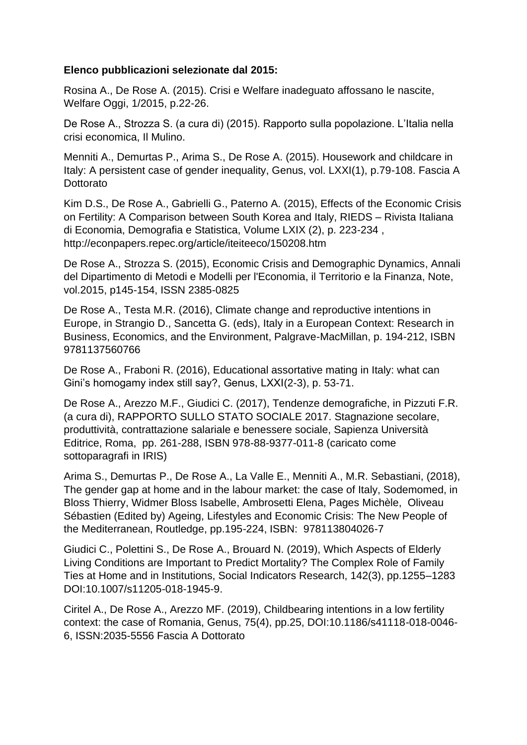## **Elenco pubblicazioni selezionate dal 2015:**

Rosina A., De Rose A. (2015). Crisi e Welfare inadeguato affossano le nascite, Welfare Oggi, 1/2015, p.22-26.

De Rose A., Strozza S. (a cura di) (2015). Rapporto sulla popolazione. L'Italia nella crisi economica, Il Mulino.

Menniti A., Demurtas P., Arima S., De Rose A. (2015). Housework and childcare in Italy: A persistent case of gender inequality, Genus, vol. LXXI(1), p.79-108. Fascia A Dottorato

Kim D.S., De Rose A., Gabrielli G., Paterno A. (2015), Effects of the Economic Crisis on Fertility: A Comparison between South Korea and Italy, RIEDS – Rivista Italiana di Economia, Demografia e Statistica, Volume LXIX (2), p. 223-234 , http://econpapers.repec.org/article/iteiteeco/150208.htm

De Rose A., Strozza S. (2015), Economic Crisis and Demographic Dynamics, Annali del Dipartimento di Metodi e Modelli per l'Economia, il Territorio e la Finanza, Note, vol.2015, p145-154, ISSN 2385-0825

De Rose A., Testa M.R. (2016), Climate change and reproductive intentions in Europe, in Strangio D., Sancetta G. (eds), Italy in a European Context: Research in Business, Economics, and the Environment, Palgrave-MacMillan, p. 194-212, ISBN 9781137560766

De Rose A., Fraboni R. (2016), Educational assortative mating in Italy: what can Gini's homogamy index still say?, Genus, LXXI(2-3), p. 53-71.

De Rose A., Arezzo M.F., Giudici C. (2017), Tendenze demografiche, in Pizzuti F.R. (a cura di), RAPPORTO SULLO STATO SOCIALE 2017. Stagnazione secolare, produttività, contrattazione salariale e benessere sociale, Sapienza Università Editrice, Roma, pp. 261-288, ISBN 978-88-9377-011-8 (caricato come sottoparagrafi in IRIS)

Arima S., Demurtas P., De Rose A., La Valle E., Menniti A., M.R. Sebastiani, (2018), The gender gap at home and in the labour market: the case of Italy, Sodemomed, in Bloss Thierry, Widmer Bloss Isabelle, Ambrosetti Elena, Pages Michèle, Oliveau Sébastien (Edited by) Ageing, Lifestyles and Economic Crisis: The New People of the Mediterranean, Routledge, pp.195-224, ISBN: 978113804026-7

Giudici C., Polettini S., De Rose A., Brouard N. (2019), Which Aspects of Elderly Living Conditions are Important to Predict Mortality? The Complex Role of Family Ties at Home and in Institutions, Social Indicators Research, 142(3), pp.1255–1283 DOI:10.1007/s11205-018-1945-9.

Ciritel A., De Rose A., Arezzo MF. (2019), Childbearing intentions in a low fertility context: the case of Romania, Genus, 75(4), pp.25, DOI:10.1186/s41118-018-0046- 6, ISSN:2035-5556 Fascia A Dottorato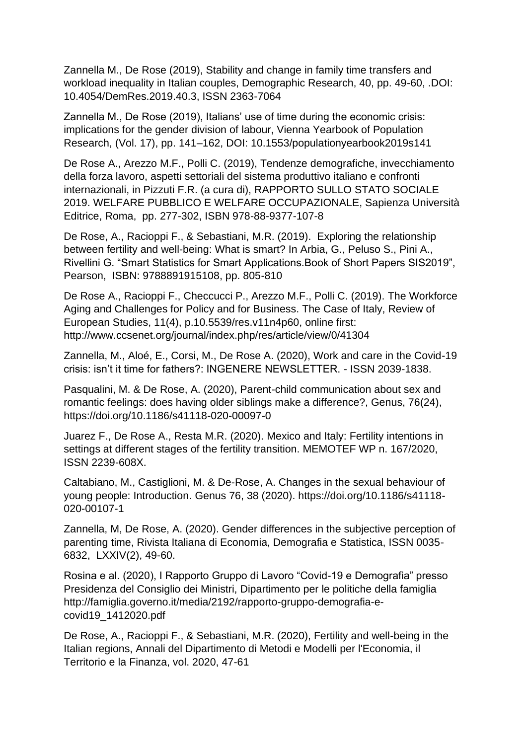Zannella M., De Rose (2019), Stability and change in family time transfers and workload inequality in Italian couples, Demographic Research, 40, pp. 49-60, .DOI: 10.4054/DemRes.2019.40.3, ISSN 2363-7064

Zannella M., De Rose (2019), Italians' use of time during the economic crisis: implications for the gender division of labour, Vienna Yearbook of Population Research, (Vol. 17), pp. 141–162, DOI: 10.1553/populationyearbook2019s141

De Rose A., Arezzo M.F., Polli C. (2019), Tendenze demografiche, invecchiamento della forza lavoro, aspetti settoriali del sistema produttivo italiano e confronti internazionali, in Pizzuti F.R. (a cura di), RAPPORTO SULLO STATO SOCIALE 2019. WELFARE PUBBLICO E WELFARE OCCUPAZIONALE, Sapienza Università Editrice, Roma, pp. 277-302, ISBN 978-88-9377-107-8

De Rose, A., Racioppi F., & Sebastiani, M.R. (2019). Exploring the relationship between fertility and well-being: What is smart? In Arbia, G., Peluso S., Pini A., Rivellini G. "Smart Statistics for Smart Applications.Book of Short Papers SIS2019", Pearson, ISBN: 9788891915108, pp. 805-810

De Rose A., Racioppi F., Checcucci P., Arezzo M.F., Polli C. (2019). The Workforce Aging and Challenges for Policy and for Business. The Case of Italy, Review of European Studies, 11(4), p.10.5539/res.v11n4p60, online first: http://www.ccsenet.org/journal/index.php/res/article/view/0/41304

Zannella, M., Aloé, E., Corsi, M., De Rose A. (2020), Work and care in the Covid-19 crisis: isn't it time for fathers?: INGENERE NEWSLETTER. - ISSN 2039-1838.

Pasqualini, M. & De Rose, A. (2020), Parent-child communication about sex and romantic feelings: does having older siblings make a difference?, Genus, 76(24), https://doi.org/10.1186/s41118-020-00097-0

Juarez F., De Rose A., Resta M.R. (2020). Mexico and Italy: Fertility intentions in settings at different stages of the fertility transition. MEMOTEF WP n. 167/2020, ISSN 2239-608X.

Caltabiano, M., Castiglioni, M. & De-Rose, A. Changes in the sexual behaviour of young people: Introduction. Genus 76, 38 (2020). https://doi.org/10.1186/s41118- 020-00107-1

Zannella, M, De Rose, A. (2020). Gender differences in the subjective perception of parenting time, Rivista Italiana di Economia, Demografia e Statistica, ISSN 0035- 6832, LXXIV(2), 49-60.

Rosina e al. (2020), I Rapporto Gruppo di Lavoro "Covid-19 e Demografia" presso Presidenza del Consiglio dei Ministri, Dipartimento per le politiche della famiglia http://famiglia.governo.it/media/2192/rapporto-gruppo-demografia-ecovid19\_1412020.pdf

De Rose, A., Racioppi F., & Sebastiani, M.R. (2020), Fertility and well-being in the Italian regions, Annali del Dipartimento di Metodi e Modelli per l'Economia, il Territorio e la Finanza, vol. 2020, 47-61